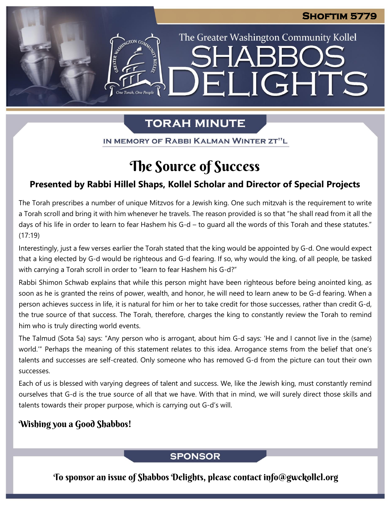The Greater Washington Community Kollel

ELIGHTS

# **TORAH MINUTE**

IN MEMORY OF RABBI KALMAN WINTER ZT"L

# The Source of Success

## **Presented by Rabbi Hillel Shaps, Kollel Scholar and Director of Special Projects**

The Torah prescribes a number of unique Mitzvos for a Jewish king. One such mitzvah is the requirement to write a Torah scroll and bring it with him whenever he travels. The reason provided is so that "he shall read from it all the days of his life in order to learn to fear Hashem his G-d – to guard all the words of this Torah and these statutes." (17:19)

Interestingly, just a few verses earlier the Torah stated that the king would be appointed by G-d. One would expect that a king elected by G-d would be righteous and G-d fearing. If so, why would the king, of all people, be tasked with carrying a Torah scroll in order to "learn to fear Hashem his G-d?"

Rabbi Shimon Schwab explains that while this person might have been righteous before being anointed king, as soon as he is granted the reins of power, wealth, and honor, he will need to learn anew to be G-d fearing. When a person achieves success in life, it is natural for him or her to take credit for those successes, rather than credit G-d, the true source of that success. The Torah, therefore, charges the king to constantly review the Torah to remind him who is truly directing world events.

The Talmud (Sota 5a) says: "Any person who is arrogant, about him G-d says: 'He and I cannot live in the (same) world.'" Perhaps the meaning of this statement relates to this idea. Arrogance stems from the belief that one's talents and successes are self-created. Only someone who has removed G-d from the picture can tout their own successes.

Each of us is blessed with varying degrees of talent and success. We, like the Jewish king, must constantly remind ourselves that G-d is the true source of all that we have. With that in mind, we will surely direct those skills and talents towards their proper purpose, which is carrying out G-d's will.

## Wishing you a Good Shabbos!

## **SPONSOR**

To sponsor an issue of Shabbos Delights, please contact info@gwckollel.org